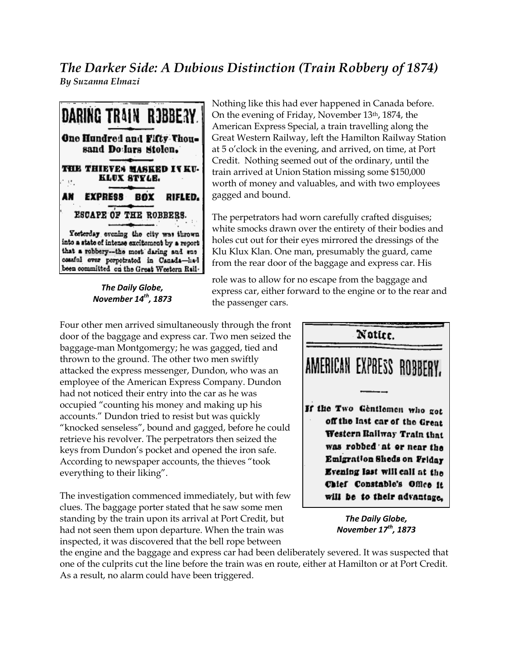## *The Darker Side: A Dubious Distinction (Train Robbery of 1874) By Suzanna Elmazi*



*The Daily Globe, November 14th , 1873* Nothing like this had ever happened in Canada before. On the evening of Friday, November 13th, 1874, the American Express Special, a train travelling along the Great Western Railway, left the Hamilton Railway Station at 5 o'clock in the evening, and arrived, on time, at Port Credit. Nothing seemed out of the ordinary, until the train arrived at Union Station missing some \$150,000 worth of money and valuables, and with two employees gagged and bound.

The perpetrators had worn carefully crafted disguises; white smocks drawn over the entirety of their bodies and holes cut out for their eyes mirrored the dressings of the Klu Klux Klan. One man, presumably the guard, came from the rear door of the baggage and express car. His

role was to allow for no escape from the baggage and express car, either forward to the engine or to the rear and the passenger cars.

Four other men arrived simultaneously through the front door of the baggage and express car. Two men seized the baggage-man Montgomergy; he was gagged, tied and thrown to the ground. The other two men swiftly attacked the express messenger, Dundon, who was an employee of the American Express Company. Dundon had not noticed their entry into the car as he was occupied "counting his money and making up his accounts." Dundon tried to resist but was quickly "knocked senseless", bound and gagged, before he could retrieve his revolver. The perpetrators then seized the keys from Dundon's pocket and opened the iron safe. According to newspaper accounts, the thieves "took everything to their liking".

The investigation commenced immediately, but with few clues. The baggage porter stated that he saw some men standing by the train upon its arrival at Port Credit, but had not seen them upon departure. When the train was inspected, it was discovered that the bell rope between



*November 17th , 1873*

the engine and the baggage and express car had been deliberately severed. It was suspected that one of the culprits cut the line before the train was en route, either at Hamilton or at Port Credit. As a result, no alarm could have been triggered.